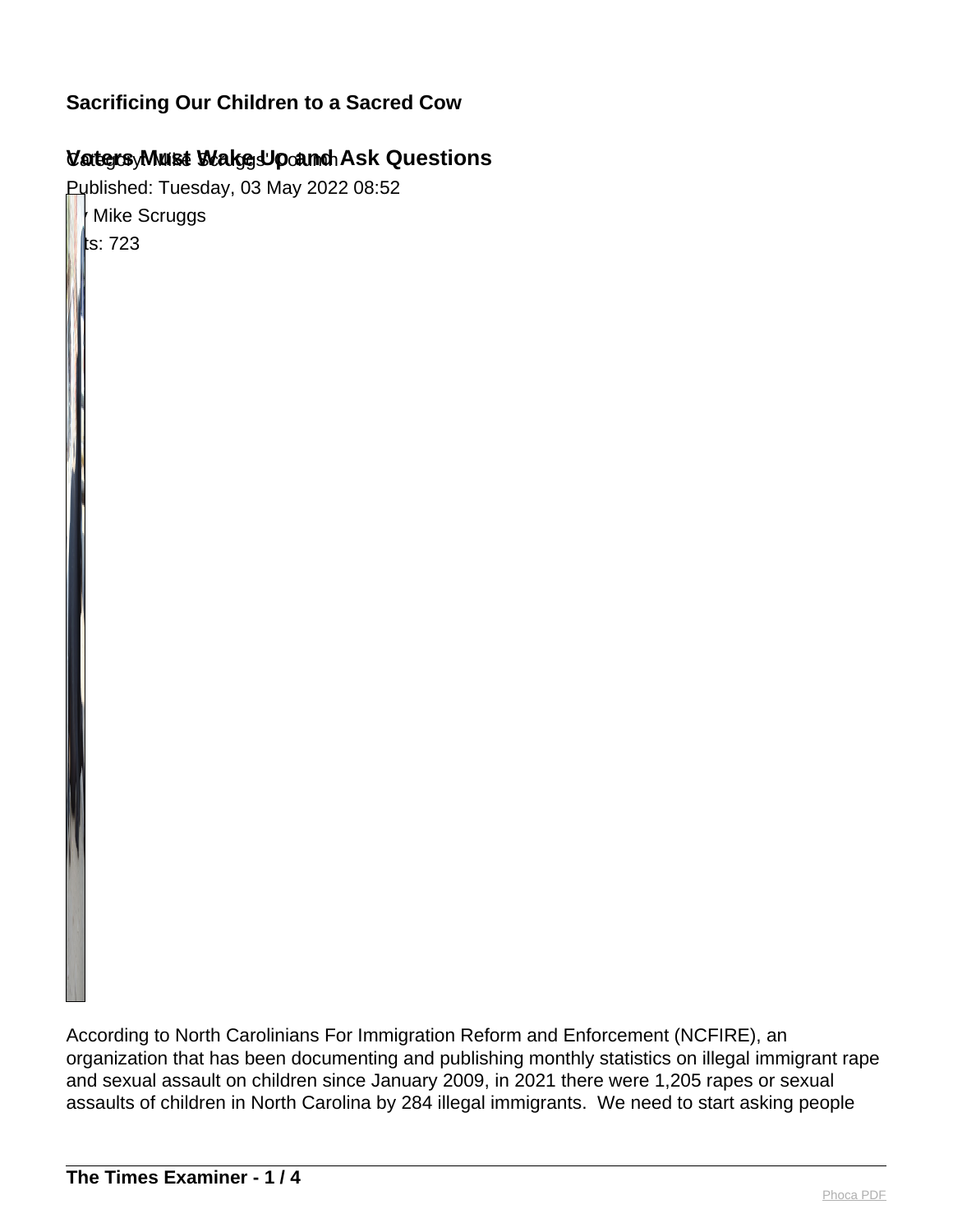# Category: Mike Scruggs' Column **Voters Must Wake Up and Ask Questions**

Published: Tuesday, 03 May 2022 08:52

**Mike Scruggs**  $\|$ ts: 723

According to North Carolinians For Immigration Reform and Enforcement (NCFIRE), an organization that has been documenting and publishing monthly statistics on illegal immigrant rape and sexual assault on children since January 2009, in 2021 there were 1,205 rapes or sexual assaults of children in North Carolina by 284 illegal immigrants. We need to start asking people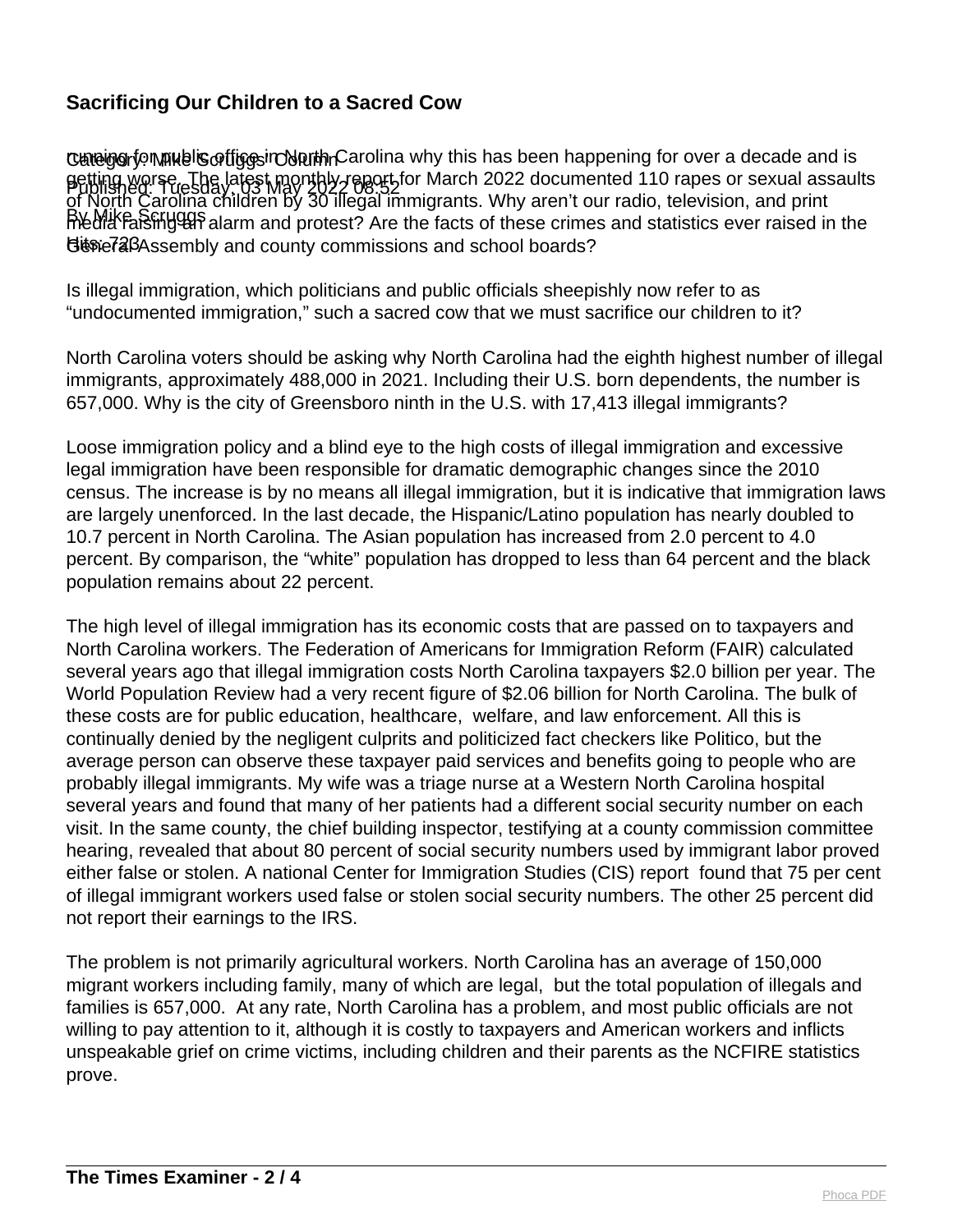Cuneigerfon mublis of figgsin North Carolina why this has been happening for over a decade and is Published: Tuesday, 03 May 2022 08:52 getting worse. The latest monthly report for March 2022 documented 110 rapes or sexual assaults By Mike Scruggs media raising an alarm and protest? Are the facts of these crimes and statistics ever raised in the Besie 72 BAssembly and county commissions and school boards? of North Carolina children by 30 illegal immigrants. Why aren't our radio, television, and print

Is illegal immigration, which politicians and public officials sheepishly now refer to as "undocumented immigration," such a sacred cow that we must sacrifice our children to it?

North Carolina voters should be asking why North Carolina had the eighth highest number of illegal immigrants, approximately 488,000 in 2021. Including their U.S. born dependents, the number is 657,000. Why is the city of Greensboro ninth in the U.S. with 17,413 illegal immigrants?

Loose immigration policy and a blind eye to the high costs of illegal immigration and excessive legal immigration have been responsible for dramatic demographic changes since the 2010 census. The increase is by no means all illegal immigration, but it is indicative that immigration laws are largely unenforced. In the last decade, the Hispanic/Latino population has nearly doubled to 10.7 percent in North Carolina. The Asian population has increased from 2.0 percent to 4.0 percent. By comparison, the "white" population has dropped to less than 64 percent and the black population remains about 22 percent.

The high level of illegal immigration has its economic costs that are passed on to taxpayers and North Carolina workers. The Federation of Americans for Immigration Reform (FAIR) calculated several years ago that illegal immigration costs North Carolina taxpayers \$2.0 billion per year. The World Population Review had a very recent figure of \$2.06 billion for North Carolina. The bulk of these costs are for public education, healthcare, welfare, and law enforcement. All this is continually denied by the negligent culprits and politicized fact checkers like Politico, but the average person can observe these taxpayer paid services and benefits going to people who are probably illegal immigrants. My wife was a triage nurse at a Western North Carolina hospital several years and found that many of her patients had a different social security number on each visit. In the same county, the chief building inspector, testifying at a county commission committee hearing, revealed that about 80 percent of social security numbers used by immigrant labor proved either false or stolen. A national Center for Immigration Studies (CIS) report found that 75 per cent of illegal immigrant workers used false or stolen social security numbers. The other 25 percent did not report their earnings to the IRS.

The problem is not primarily agricultural workers. North Carolina has an average of 150,000 migrant workers including family, many of which are legal, but the total population of illegals and families is 657,000. At any rate, North Carolina has a problem, and most public officials are not willing to pay attention to it, although it is costly to taxpayers and American workers and inflicts unspeakable grief on crime victims, including children and their parents as the NCFIRE statistics prove.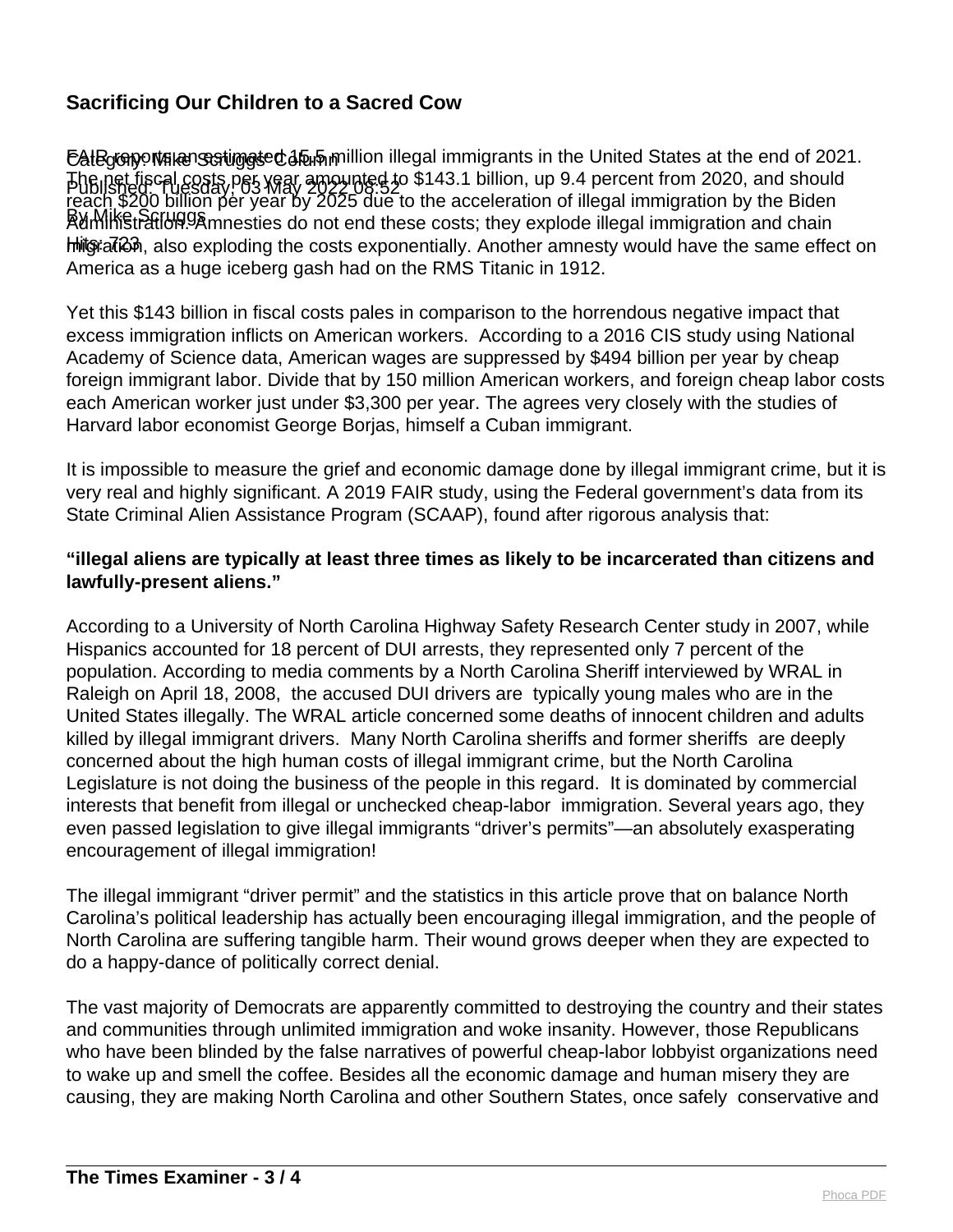EAIBgGnontตลารอยู่เพลง Estimated 15.5 million illegal immigrants in the United States at the end of 2021. Published: Tuesday, 03 May 2022 08:52 The net fiscal costs per year amounted to \$143.1 billion, up 9.4 percent from 2020, and should By Mike Scruggs Amnesties do not end these costs; they explode illegal immigration and chain Hits: 723 migration, also exploding the costs exponentially. Another amnesty would have the same effect on reach \$200 billion per year by 2025 due to the acceleration of illegal immigration by the Biden America as a huge iceberg gash had on the RMS Titanic in 1912.

Yet this \$143 billion in fiscal costs pales in comparison to the horrendous negative impact that excess immigration inflicts on American workers. According to a 2016 CIS study using National Academy of Science data, American wages are suppressed by \$494 billion per year by cheap foreign immigrant labor. Divide that by 150 million American workers, and foreign cheap labor costs each American worker just under \$3,300 per year. The agrees very closely with the studies of Harvard labor economist George Borjas, himself a Cuban immigrant.

It is impossible to measure the grief and economic damage done by illegal immigrant crime, but it is very real and highly significant. A 2019 FAIR study, using the Federal government's data from its State Criminal Alien Assistance Program (SCAAP), found after rigorous analysis that:

#### **"illegal aliens are typically at least three times as likely to be incarcerated than citizens and lawfully-present aliens."**

According to a University of North Carolina Highway Safety Research Center study in 2007, while Hispanics accounted for 18 percent of DUI arrests, they represented only 7 percent of the population. According to media comments by a North Carolina Sheriff interviewed by WRAL in Raleigh on April 18, 2008, the accused DUI drivers are typically young males who are in the United States illegally. The WRAL article concerned some deaths of innocent children and adults killed by illegal immigrant drivers. Many North Carolina sheriffs and former sheriffs are deeply concerned about the high human costs of illegal immigrant crime, but the North Carolina Legislature is not doing the business of the people in this regard. It is dominated by commercial interests that benefit from illegal or unchecked cheap-labor immigration. Several years ago, they even passed legislation to give illegal immigrants "driver's permits"—an absolutely exasperating encouragement of illegal immigration!

The illegal immigrant "driver permit" and the statistics in this article prove that on balance North Carolina's political leadership has actually been encouraging illegal immigration, and the people of North Carolina are suffering tangible harm. Their wound grows deeper when they are expected to do a happy-dance of politically correct denial.

The vast majority of Democrats are apparently committed to destroying the country and their states and communities through unlimited immigration and woke insanity. However, those Republicans who have been blinded by the false narratives of powerful cheap-labor lobbyist organizations need to wake up and smell the coffee. Besides all the economic damage and human misery they are causing, they are making North Carolina and other Southern States, once safely conservative and